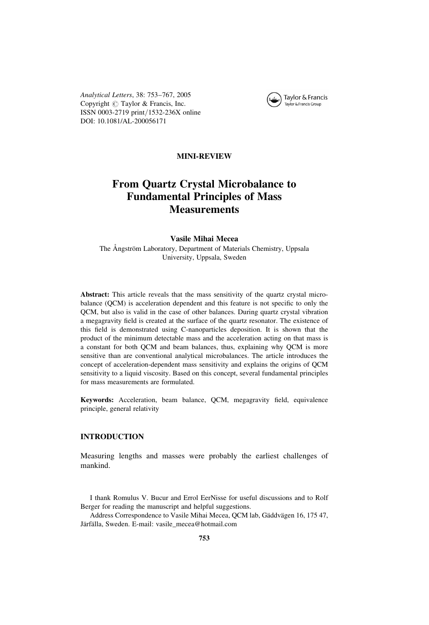Analytical Letters, 38: 753–767, 2005 Copyright  $\circled{c}$  Taylor & Francis, Inc. ISSN 0003-2719 print/1532-236X online DOI: 10.1081/AL-200056171



### MINI-REVIEW

# From Quartz Crystal Microbalance to Fundamental Principles of Mass **Measurements**

## Vasile Mihai Mecea The Angström Laboratory, Department of Materials Chemistry, Uppsala University, Uppsala, Sweden

Abstract: This article reveals that the mass sensitivity of the quartz crystal microbalance (QCM) is acceleration dependent and this feature is not specific to only the QCM, but also is valid in the case of other balances. During quartz crystal vibration a megagravity field is created at the surface of the quartz resonator. The existence of this field is demonstrated using C-nanoparticles deposition. It is shown that the product of the minimum detectable mass and the acceleration acting on that mass is a constant for both QCM and beam balances, thus, explaining why QCM is more sensitive than are conventional analytical microbalances. The article introduces the concept of acceleration-dependent mass sensitivity and explains the origins of QCM sensitivity to a liquid viscosity. Based on this concept, several fundamental principles for mass measurements are formulated.

Keywords: Acceleration, beam balance, QCM, megagravity field, equivalence principle, general relativity

# INTRODUCTION

Measuring lengths and masses were probably the earliest challenges of mankind.

I thank Romulus V. Bucur and Errol EerNisse for useful discussions and to Rolf Berger for reading the manuscript and helpful suggestions.

Address Correspondence to Vasile Mihai Mecea, QCM lab, Gäddvägen 16, 175 47, Järfälla, Sweden. E-mail: vasile\_mecea@hotmail.com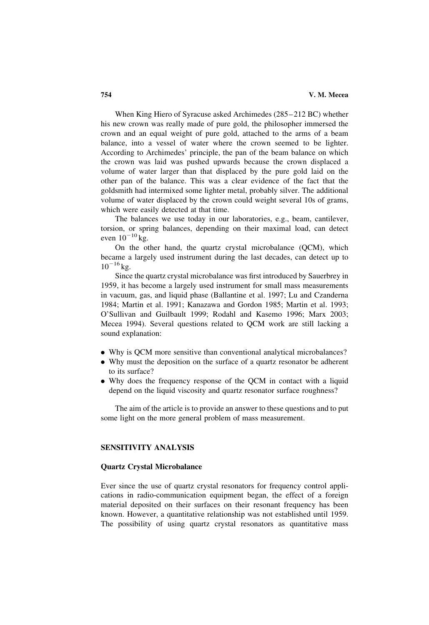When King Hiero of Syracuse asked Archimedes (285–212 BC) whether his new crown was really made of pure gold, the philosopher immersed the crown and an equal weight of pure gold, attached to the arms of a beam balance, into a vessel of water where the crown seemed to be lighter. According to Archimedes' principle, the pan of the beam balance on which the crown was laid was pushed upwards because the crown displaced a volume of water larger than that displaced by the pure gold laid on the other pan of the balance. This was a clear evidence of the fact that the goldsmith had intermixed some lighter metal, probably silver. The additional volume of water displaced by the crown could weight several 10s of grams, which were easily detected at that time.

The balances we use today in our laboratories, e.g., beam, cantilever, torsion, or spring balances, depending on their maximal load, can detect even  $10^{-10}$  kg.

On the other hand, the quartz crystal microbalance (QCM), which became a largely used instrument during the last decades, can detect up to  $10^{-16}$  kg.

Since the quartz crystal microbalance was first introduced by Sauerbrey in 1959, it has become a largely used instrument for small mass measurements in vacuum, gas, and liquid phase (Ballantine et al. 1997; Lu and Czanderna 1984; Martin et al. 1991; Kanazawa and Gordon 1985; Martin et al. 1993; O'Sullivan and Guilbault 1999; Rodahl and Kasemo 1996; Marx 2003; Mecea 1994). Several questions related to QCM work are still lacking a sound explanation:

- . Why is QCM more sensitive than conventional analytical microbalances?
- . Why must the deposition on the surface of a quartz resonator be adherent to its surface?
- . Why does the frequency response of the QCM in contact with a liquid depend on the liquid viscosity and quartz resonator surface roughness?

The aim of the article is to provide an answer to these questions and to put some light on the more general problem of mass measurement.

### SENSITIVITY ANALYSIS

### Quartz Crystal Microbalance

Ever since the use of quartz crystal resonators for frequency control applications in radio-communication equipment began, the effect of a foreign material deposited on their surfaces on their resonant frequency has been known. However, a quantitative relationship was not established until 1959. The possibility of using quartz crystal resonators as quantitative mass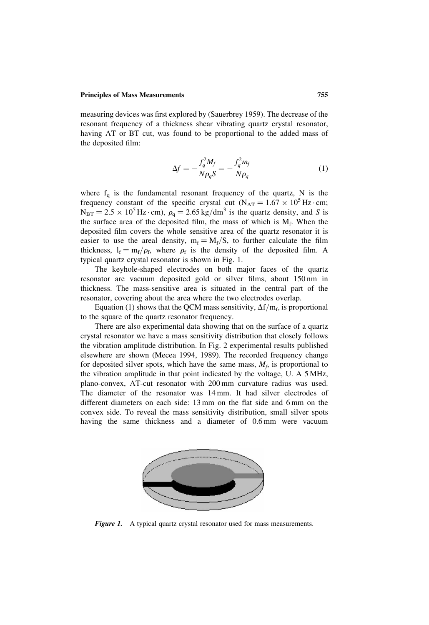measuring devices was first explored by (Sauerbrey 1959). The decrease of the resonant frequency of a thickness shear vibrating quartz crystal resonator, having AT or BT cut, was found to be proportional to the added mass of the deposited film:

$$
\Delta f = -\frac{f_q^2 M_f}{N \rho_q S} = -\frac{f_q^2 m_f}{N \rho_q} \tag{1}
$$

where  $f_q$  is the fundamental resonant frequency of the quartz, N is the frequency constant of the specific crystal cut ( $N_{AT} = 1.67 \times 10^5$  Hz $\cdot$ cm;  $N_{\text{BT}} = 2.5 \times 10^5 \,\text{Hz} \cdot \text{cm}$ ,  $\rho_q = 2.65 \,\text{kg/dm}^3$  is the quartz density, and S is the surface area of the deposited film, the mass of which is  $M_f$ . When the deposited film covers the whole sensitive area of the quartz resonator it is easier to use the areal density,  $m_f = M_f/S$ , to further calculate the film thickness,  $l_f = m_f/\rho_f$ , where  $\rho_f$  is the density of the deposited film. A typical quartz crystal resonator is shown in Fig. 1.

The keyhole-shaped electrodes on both major faces of the quartz resonator are vacuum deposited gold or silver films, about 150 nm in thickness. The mass-sensitive area is situated in the central part of the resonator, covering about the area where the two electrodes overlap.

Equation (1) shows that the QCM mass sensitivity,  $\Delta f/m_f$ , is proportional to the square of the quartz resonator frequency.

There are also experimental data showing that on the surface of a quartz crystal resonator we have a mass sensitivity distribution that closely follows the vibration amplitude distribution. In Fig. 2 experimental results published elsewhere are shown (Mecea 1994, 1989). The recorded frequency change for deposited silver spots, which have the same mass,  $M_f$ , is proportional to the vibration amplitude in that point indicated by the voltage, U. A 5 MHz, plano-convex, AT-cut resonator with 200 mm curvature radius was used. The diameter of the resonator was 14 mm. It had silver electrodes of different diameters on each side: 13 mm on the flat side and 6 mm on the convex side. To reveal the mass sensitivity distribution, small silver spots having the same thickness and a diameter of 0.6 mm were vacuum



Figure 1. A typical quartz crystal resonator used for mass measurements.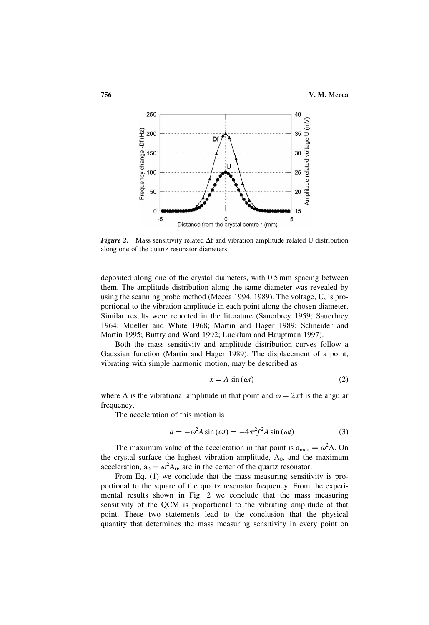

**Figure 2.** Mass sensitivity related  $\Delta f$  and vibration amplitude related U distribution along one of the quartz resonator diameters.

deposited along one of the crystal diameters, with 0.5 mm spacing between them. The amplitude distribution along the same diameter was revealed by using the scanning probe method (Mecea 1994, 1989). The voltage, U, is proportional to the vibration amplitude in each point along the chosen diameter. Similar results were reported in the literature (Sauerbrey 1959; Sauerbrey 1964; Mueller and White 1968; Martin and Hager 1989; Schneider and Martin 1995; Buttry and Ward 1992; Lucklum and Hauptman 1997).

Both the mass sensitivity and amplitude distribution curves follow a Gaussian function (Martin and Hager 1989). The displacement of a point, vibrating with simple harmonic motion, may be described as

$$
x = A\sin(\omega t) \tag{2}
$$

where A is the vibrational amplitude in that point and  $\omega = 2\pi f$  is the angular frequency.

The acceleration of this motion is

$$
a = -\omega^2 A \sin(\omega t) = -4\pi^2 f^2 A \sin(\omega t)
$$
 (3)

The maximum value of the acceleration in that point is  $a_{max} = \omega^2 A$ . On the crystal surface the highest vibration amplitude,  $A_0$ , and the maximum acceleration,  $a_0 = \omega^2 A_0$ , are in the center of the quartz resonator.

From Eq. (1) we conclude that the mass measuring sensitivity is proportional to the square of the quartz resonator frequency. From the experimental results shown in Fig. 2 we conclude that the mass measuring sensitivity of the QCM is proportional to the vibrating amplitude at that point. These two statements lead to the conclusion that the physical quantity that determines the mass measuring sensitivity in every point on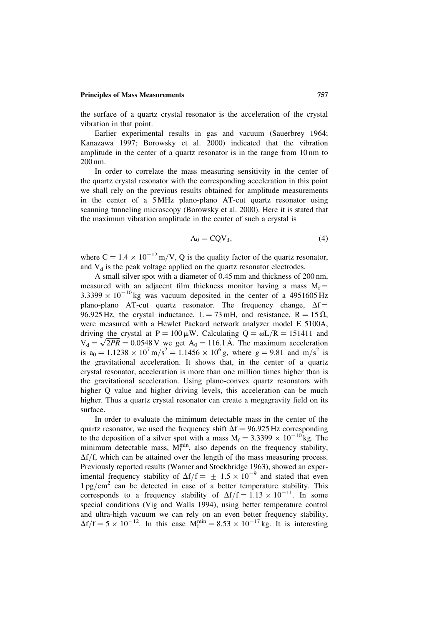the surface of a quartz crystal resonator is the acceleration of the crystal vibration in that point.

Earlier experimental results in gas and vacuum (Sauerbrey 1964; Kanazawa 1997; Borowsky et al. 2000) indicated that the vibration amplitude in the center of a quartz resonator is in the range from 10 nm to 200 nm.

In order to correlate the mass measuring sensitivity in the center of the quartz crystal resonator with the corresponding acceleration in this point we shall rely on the previous results obtained for amplitude measurements in the center of a 5 MHz plano-plano AT-cut quartz resonator using scanning tunneling microscopy (Borowsky et al. 2000). Here it is stated that the maximum vibration amplitude in the center of such a crystal is

$$
A_0 = CQV_d, \t\t(4)
$$

where  $C = 1.4 \times 10^{-12}$  m/V, Q is the quality factor of the quartz resonator, and  $V_d$  is the peak voltage applied on the quartz resonator electrodes.

A small silver spot with a diameter of 0.45 mm and thickness of 200 nm, measured with an adjacent film thickness monitor having a mass  $M_f$  =  $3.3399 \times 10^{-10}$  kg was vacuum deposited in the center of a 4951605 Hz plano-plano AT-cut quartz resonator. The frequency change,  $\Delta f =$ 96.925 Hz, the crystal inductance,  $L = 73$  mH, and resistance,  $R = 15 \Omega$ , were measured with a Hewlet Packard network analyzer model E 5100A, driving the crystal at P = 100  $\mu$ W. Calculating Q =  $\omega L/R = 151411$  and The driving the crystal at  $P = 100 \mu$ W. Calculating  $Q = \omega L/K = 151411$  and  $V_d = \sqrt{2PR} = 0.0548$  V we get  $A_0 = 116.1$  Å. The maximum acceleration is  $a_0 = 1.1238 \times 10^7 \text{ m/s}^2 = 1.1456 \times 10^6 g$ , where  $g = 9.81$  and  $\text{m/s}^2$  is the gravitational acceleration. It shows that, in the center of a quartz crystal resonator, acceleration is more than one million times higher than is the gravitational acceleration. Using plano-convex quartz resonators with higher Q value and higher driving levels, this acceleration can be much higher. Thus a quartz crystal resonator can create a megagravity field on its surface.

In order to evaluate the minimum detectable mass in the center of the quartz resonator, we used the frequency shift  $\Delta f = 96.925$  Hz corresponding to the deposition of a silver spot with a mass  $M_f = 3.3399 \times 10^{-10}$  kg. The minimum detectable mass,  $M_f^{min}$ , also depends on the frequency stability,  $\Delta f/f$ , which can be attained over the length of the mass measuring process. Previously reported results (Warner and Stockbridge 1963), showed an experimental frequency stability of  $\Delta f/f = \pm 1.5 \times 10^{-9}$  and stated that even  $1 \text{ pg/cm}^2$  can be detected in case of a better temperature stability. This corresponds to a frequency stability of  $\Delta f/f = 1.13 \times 10^{-11}$ . In some special conditions (Vig and Walls 1994), using better temperature control and ultra-high vacuum we can rely on an even better frequency stability,  $\Delta f/f = 5 \times 10^{-12}$ . In this case  $M_f^{min} = 8.53 \times 10^{-17}$  kg. It is interesting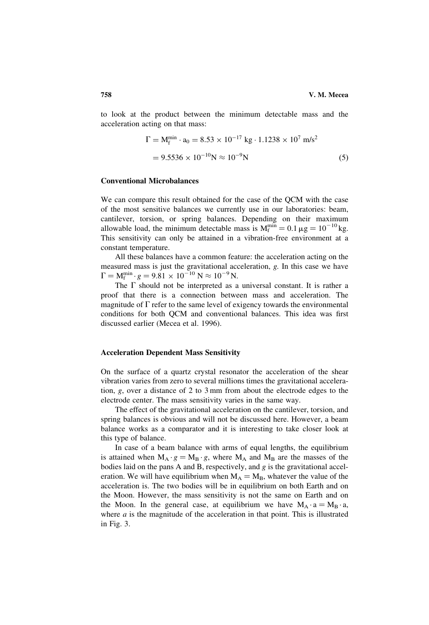to look at the product between the minimum detectable mass and the acceleration acting on that mass:

$$
\Gamma = M_f^{\min} \cdot a_0 = 8.53 \times 10^{-17} \text{ kg} \cdot 1.1238 \times 10^7 \text{ m/s}^2
$$
  
= 9.5536 × 10<sup>-10</sup>N ≈ 10<sup>-9</sup>N (5)

### Conventional Microbalances

We can compare this result obtained for the case of the QCM with the case of the most sensitive balances we currently use in our laboratories: beam, cantilever, torsion, or spring balances. Depending on their maximum allowable load, the minimum detectable mass is  $M_f^{min} = 0.1 \mu g = 10^{-10} kg$ . This sensitivity can only be attained in a vibration-free environment at a constant temperature.

All these balances have a common feature: the acceleration acting on the measured mass is just the gravitational acceleration, g. In this case we have  $\Gamma = M_{\rm f}^{\rm min} \cdot g = 9.81 \times 10^{-10} \,\mathrm{N} \approx 10^{-9} \,\mathrm{N}.$ 

The  $\Gamma$  should not be interpreted as a universal constant. It is rather a proof that there is a connection between mass and acceleration. The magnitude of  $\Gamma$  refer to the same level of exigency towards the environmental conditions for both QCM and conventional balances. This idea was first discussed earlier (Mecea et al. 1996).

### Acceleration Dependent Mass Sensitivity

On the surface of a quartz crystal resonator the acceleration of the shear vibration varies from zero to several millions times the gravitational acceleration, g, over a distance of 2 to 3 mm from about the electrode edges to the electrode center. The mass sensitivity varies in the same way.

The effect of the gravitational acceleration on the cantilever, torsion, and spring balances is obvious and will not be discussed here. However, a beam balance works as a comparator and it is interesting to take closer look at this type of balance.

In case of a beam balance with arms of equal lengths, the equilibrium is attained when  $M_A \cdot g = M_B \cdot g$ , where  $M_A$  and  $M_B$  are the masses of the bodies laid on the pans A and B, respectively, and g is the gravitational acceleration. We will have equilibrium when  $M_A = M_B$ , whatever the value of the acceleration is. The two bodies will be in equilibrium on both Earth and on the Moon. However, the mass sensitivity is not the same on Earth and on the Moon. In the general case, at equilibrium we have  $M_A \cdot a = M_B \cdot a$ , where  $a$  is the magnitude of the acceleration in that point. This is illustrated in Fig. 3.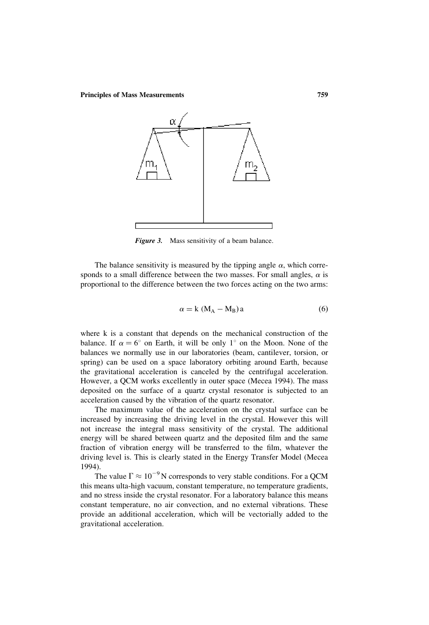

Figure 3. Mass sensitivity of a beam balance.

The balance sensitivity is measured by the tipping angle  $\alpha$ , which corresponds to a small difference between the two masses. For small angles,  $\alpha$  is proportional to the difference between the two forces acting on the two arms:

$$
\alpha = k (M_A - M_B) a \tag{6}
$$

where k is a constant that depends on the mechanical construction of the balance. If  $\alpha = 6^{\circ}$  on Earth, it will be only 1<sup>°</sup> on the Moon. None of the balances we normally use in our laboratories (beam, cantilever, torsion, or spring) can be used on a space laboratory orbiting around Earth, because the gravitational acceleration is canceled by the centrifugal acceleration. However, a QCM works excellently in outer space (Mecea 1994). The mass deposited on the surface of a quartz crystal resonator is subjected to an acceleration caused by the vibration of the quartz resonator.

The maximum value of the acceleration on the crystal surface can be increased by increasing the driving level in the crystal. However this will not increase the integral mass sensitivity of the crystal. The additional energy will be shared between quartz and the deposited film and the same fraction of vibration energy will be transferred to the film, whatever the driving level is. This is clearly stated in the Energy Transfer Model (Mecea 1994).

The value  $\Gamma \approx 10^{-9}$  N corresponds to very stable conditions. For a QCM this means ulta-high vacuum, constant temperature, no temperature gradients, and no stress inside the crystal resonator. For a laboratory balance this means constant temperature, no air convection, and no external vibrations. These provide an additional acceleration, which will be vectorially added to the gravitational acceleration.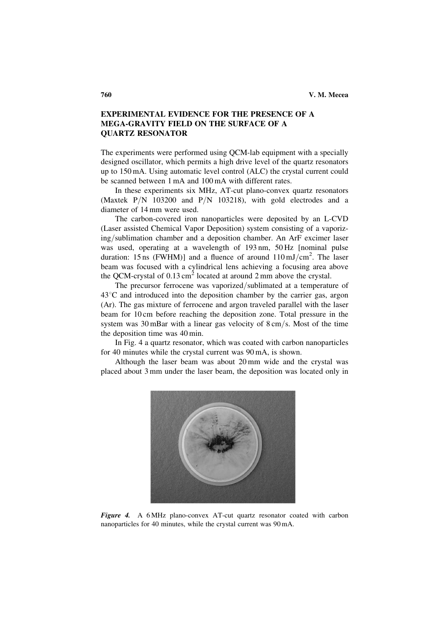# EXPERIMENTAL EVIDENCE FOR THE PRESENCE OF A MEGA-GRAVITY FIELD ON THE SURFACE OF A QUARTZ RESONATOR

The experiments were performed using QCM-lab equipment with a specially designed oscillator, which permits a high drive level of the quartz resonators up to 150 mA. Using automatic level control (ALC) the crystal current could be scanned between 1 mA and 100 mA with different rates.

In these experiments six MHz, AT-cut plano-convex quartz resonators (Maxtek P/N 103200 and P/N 103218), with gold electrodes and a diameter of 14 mm were used.

The carbon-covered iron nanoparticles were deposited by an L-CVD (Laser assisted Chemical Vapor Deposition) system consisting of a vaporizing/sublimation chamber and a deposition chamber. An ArF excimer laser was used, operating at a wavelength of 193 nm, 50 Hz [nominal pulse duration: 15 ns (FWHM)] and a fluence of around  $110 \text{ mJ/cm}^2$ . The laser beam was focused with a cylindrical lens achieving a focusing area above the QCM-crystal of  $0.13 \text{ cm}^2$  located at around 2 mm above the crystal.

The precursor ferrocene was vaporized/sublimated at a temperature of  $43^{\circ}$ C and introduced into the deposition chamber by the carrier gas, argon (Ar). The gas mixture of ferrocene and argon traveled parallel with the laser beam for 10 cm before reaching the deposition zone. Total pressure in the system was 30 mBar with a linear gas velocity of 8 cm/s. Most of the time the deposition time was 40 min.

In Fig. 4 a quartz resonator, which was coated with carbon nanoparticles for 40 minutes while the crystal current was 90 mA, is shown.

Although the laser beam was about 20 mm wide and the crystal was placed about 3 mm under the laser beam, the deposition was located only in



Figure 4. A 6 MHz plano-convex AT-cut quartz resonator coated with carbon nanoparticles for 40 minutes, while the crystal current was 90 mA.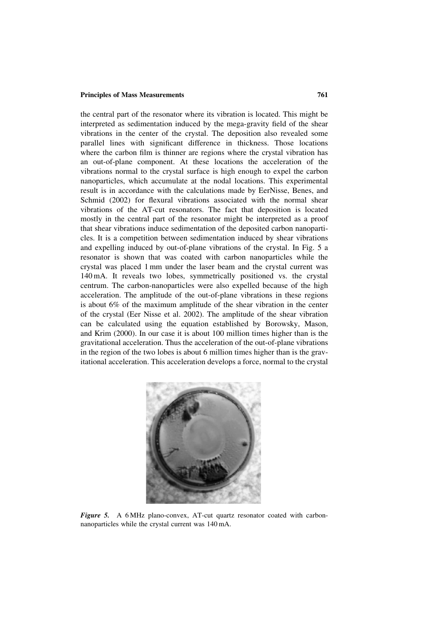the central part of the resonator where its vibration is located. This might be interpreted as sedimentation induced by the mega-gravity field of the shear vibrations in the center of the crystal. The deposition also revealed some parallel lines with significant difference in thickness. Those locations where the carbon film is thinner are regions where the crystal vibration has an out-of-plane component. At these locations the acceleration of the vibrations normal to the crystal surface is high enough to expel the carbon nanoparticles, which accumulate at the nodal locations. This experimental result is in accordance with the calculations made by EerNisse, Benes, and Schmid (2002) for flexural vibrations associated with the normal shear vibrations of the AT-cut resonators. The fact that deposition is located mostly in the central part of the resonator might be interpreted as a proof that shear vibrations induce sedimentation of the deposited carbon nanoparticles. It is a competition between sedimentation induced by shear vibrations and expelling induced by out-of-plane vibrations of the crystal. In Fig. 5 a resonator is shown that was coated with carbon nanoparticles while the crystal was placed 1 mm under the laser beam and the crystal current was 140 mA. It reveals two lobes, symmetrically positioned vs. the crystal centrum. The carbon-nanoparticles were also expelled because of the high acceleration. The amplitude of the out-of-plane vibrations in these regions is about 6% of the maximum amplitude of the shear vibration in the center of the crystal (Eer Nisse et al. 2002). The amplitude of the shear vibration can be calculated using the equation established by Borowsky, Mason, and Krim (2000). In our case it is about 100 million times higher than is the gravitational acceleration. Thus the acceleration of the out-of-plane vibrations in the region of the two lobes is about 6 million times higher than is the gravitational acceleration. This acceleration develops a force, normal to the crystal



Figure 5. A 6 MHz plano-convex, AT-cut quartz resonator coated with carbonnanoparticles while the crystal current was 140 mA.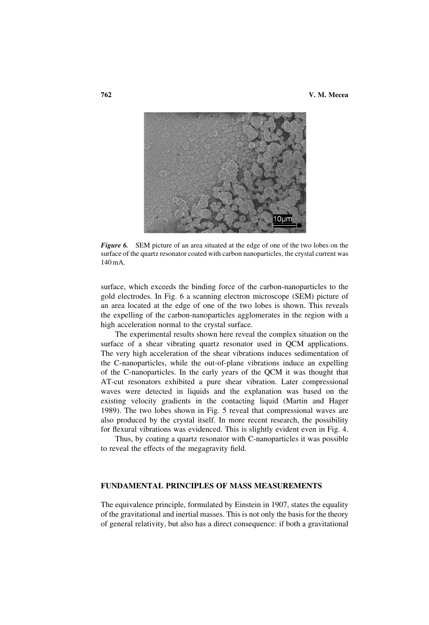762 V. M. Mecea



Figure 6. SEM picture of an area situated at the edge of one of the two lobes on the surface of the quartz resonator coated with carbon nanoparticles, the crystal current was 140 mA.

surface, which exceeds the binding force of the carbon-nanoparticles to the gold electrodes. In Fig. 6 a scanning electron microscope (SEM) picture of an area located at the edge of one of the two lobes is shown. This reveals the expelling of the carbon-nanoparticles agglomerates in the region with a high acceleration normal to the crystal surface.

The experimental results shown here reveal the complex situation on the surface of a shear vibrating quartz resonator used in QCM applications. The very high acceleration of the shear vibrations induces sedimentation of the C-nanoparticles, while the out-of-plane vibrations induce an expelling of the C-nanoparticles. In the early years of the QCM it was thought that AT-cut resonators exhibited a pure shear vibration. Later compressional waves were detected in liquids and the explanation was based on the existing velocity gradients in the contacting liquid (Martin and Hager 1989). The two lobes shown in Fig. 5 reveal that compressional waves are also produced by the crystal itself. In more recent research, the possibility for flexural vibrations was evidenced. This is slightly evident even in Fig. 4.

Thus, by coating a quartz resonator with C-nanoparticles it was possible to reveal the effects of the megagravity field.

### FUNDAMENTAL PRINCIPLES OF MASS MEASUREMENTS

The equivalence principle, formulated by Einstein in 1907, states the equality of the gravitational and inertial masses. This is not only the basis for the theory of general relativity, but also has a direct consequence: if both a gravitational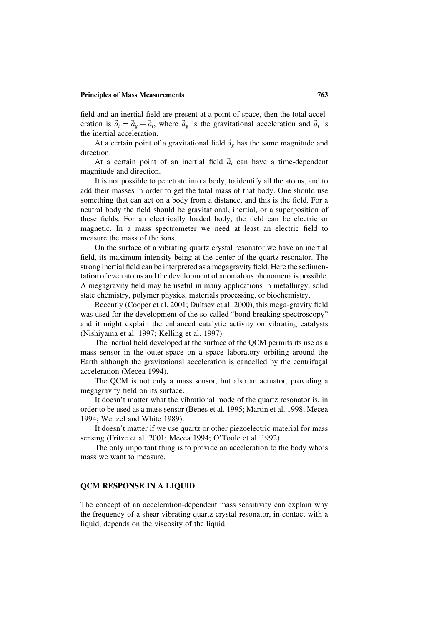field and an inertial field are present at a point of space, then the total acceleration is  $\vec{a}_t = \vec{a}_g + \vec{a}_i$ , where  $\vec{a}_g$  is the gravitational acceleration and  $\vec{a}_i$  is the inertial acceleration.

At a certain point of a gravitational field  $\vec{a}_g$  has the same magnitude and direction.

At a certain point of an inertial field  $\vec{a}_i$  can have a time-dependent magnitude and direction.

It is not possible to penetrate into a body, to identify all the atoms, and to add their masses in order to get the total mass of that body. One should use something that can act on a body from a distance, and this is the field. For a neutral body the field should be gravitational, inertial, or a superposition of these fields. For an electrically loaded body, the field can be electric or magnetic. In a mass spectrometer we need at least an electric field to measure the mass of the ions.

On the surface of a vibrating quartz crystal resonator we have an inertial field, its maximum intensity being at the center of the quartz resonator. The strong inertial field can be interpreted as a megagravity field. Here the sedimentation of even atoms and the development of anomalous phenomena is possible. A megagravity field may be useful in many applications in metallurgy, solid state chemistry, polymer physics, materials processing, or biochemistry.

Recently (Cooper et al. 2001; Dultsev et al. 2000), this mega-gravity field was used for the development of the so-called "bond breaking spectroscopy" and it might explain the enhanced catalytic activity on vibrating catalysts (Nishiyama et al. 1997; Kelling et al. 1997).

The inertial field developed at the surface of the QCM permits its use as a mass sensor in the outer-space on a space laboratory orbiting around the Earth although the gravitational acceleration is cancelled by the centrifugal acceleration (Mecea 1994).

The QCM is not only a mass sensor, but also an actuator, providing a megagravity field on its surface.

It doesn't matter what the vibrational mode of the quartz resonator is, in order to be used as a mass sensor (Benes et al. 1995; Martin et al. 1998; Mecea 1994; Wenzel and White 1989).

It doesn't matter if we use quartz or other piezoelectric material for mass sensing (Fritze et al. 2001; Mecea 1994; O'Toole et al. 1992).

The only important thing is to provide an acceleration to the body who's mass we want to measure.

### QCM RESPONSE IN A LIQUID

The concept of an acceleration-dependent mass sensitivity can explain why the frequency of a shear vibrating quartz crystal resonator, in contact with a liquid, depends on the viscosity of the liquid.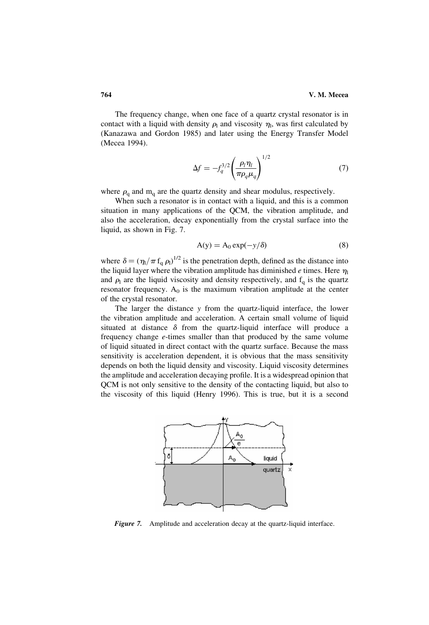The frequency change, when one face of a quartz crystal resonator is in contact with a liquid with density  $\rho_1$  and viscosity  $\eta_1$ , was first calculated by (Kanazawa and Gordon 1985) and later using the Energy Transfer Model (Mecea 1994).

$$
\Delta f = -f_q^{3/2} \left( \frac{\rho_l \eta_l}{\pi \rho_q \mu_q} \right)^{1/2} \tag{7}
$$

where  $\rho_q$  and m<sub>q</sub> are the quartz density and shear modulus, respectively.

When such a resonator is in contact with a liquid, and this is a common situation in many applications of the QCM, the vibration amplitude, and also the acceleration, decay exponentially from the crystal surface into the liquid, as shown in Fig. 7.

$$
A(y) = A_0 \exp(-y/\delta)
$$
 (8)

where  $\delta = (\eta_l/\pi \, f_q \, \rho_l)^{1/2}$  is the penetration depth, defined as the distance into the liquid layer where the vibration amplitude has diminished e times. Here  $\eta_1$ and  $\rho_1$  are the liquid viscosity and density respectively, and  $f_q$  is the quartz resonator frequency.  $A_0$  is the maximum vibration amplitude at the center of the crystal resonator.

The larger the distance y from the quartz-liquid interface, the lower the vibration amplitude and acceleration. A certain small volume of liquid situated at distance  $\delta$  from the quartz-liquid interface will produce a frequency change e-times smaller than that produced by the same volume of liquid situated in direct contact with the quartz surface. Because the mass sensitivity is acceleration dependent, it is obvious that the mass sensitivity depends on both the liquid density and viscosity. Liquid viscosity determines the amplitude and acceleration decaying profile. It is a widespread opinion that QCM is not only sensitive to the density of the contacting liquid, but also to the viscosity of this liquid (Henry 1996). This is true, but it is a second



Figure 7. Amplitude and acceleration decay at the quartz-liquid interface.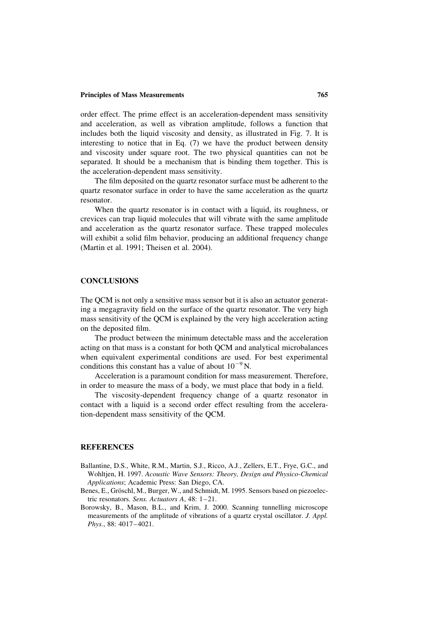order effect. The prime effect is an acceleration-dependent mass sensitivity and acceleration, as well as vibration amplitude, follows a function that includes both the liquid viscosity and density, as illustrated in Fig. 7. It is interesting to notice that in Eq. (7) we have the product between density and viscosity under square root. The two physical quantities can not be separated. It should be a mechanism that is binding them together. This is the acceleration-dependent mass sensitivity.

The film deposited on the quartz resonator surface must be adherent to the quartz resonator surface in order to have the same acceleration as the quartz resonator.

When the quartz resonator is in contact with a liquid, its roughness, or crevices can trap liquid molecules that will vibrate with the same amplitude and acceleration as the quartz resonator surface. These trapped molecules will exhibit a solid film behavior, producing an additional frequency change (Martin et al. 1991; Theisen et al. 2004).

### **CONCLUSIONS**

The QCM is not only a sensitive mass sensor but it is also an actuator generating a megagravity field on the surface of the quartz resonator. The very high mass sensitivity of the QCM is explained by the very high acceleration acting on the deposited film.

The product between the minimum detectable mass and the acceleration acting on that mass is a constant for both QCM and analytical microbalances when equivalent experimental conditions are used. For best experimental conditions this constant has a value of about  $10^{-9}$  N.

Acceleration is a paramount condition for mass measurement. Therefore, in order to measure the mass of a body, we must place that body in a field.

The viscosity-dependent frequency change of a quartz resonator in contact with a liquid is a second order effect resulting from the acceleration-dependent mass sensitivity of the QCM.

#### REFERENCES

- Ballantine, D.S., White, R.M., Martin, S.J., Ricco, A.J., Zellers, E.T., Frye, G.C., and Wohltjen, H. 1997. Acoustic Wave Sensors: Theory, Design and Physico-Chemical Applications; Academic Press: San Diego, CA.
- Benes, E., Gröschl, M., Burger, W., and Schmidt, M. 1995. Sensors based on piezoelectric resonators. Sens. Actuators A, 48: 1–21.
- Borowsky, B., Mason, B.L., and Krim, J. 2000. Scanning tunnelling microscope measurements of the amplitude of vibrations of a quartz crystal oscillator. J. Appl. Phys., 88: 4017–4021.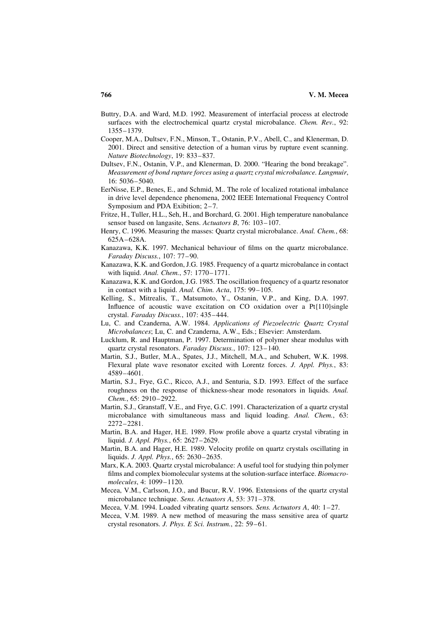- Buttry, D.A. and Ward, M.D. 1992. Measurement of interfacial process at electrode surfaces with the electrochemical quartz crystal microbalance. Chem. Rev., 92: 1355–1379.
- Cooper, M.A., Dultsev, F.N., Minson, T., Ostanin, P.V., Abell, C., and Klenerman, D. 2001. Direct and sensitive detection of a human virus by rupture event scanning. Nature Biotechnology, 19: 833–837.
- Dultsev, F.N., Ostanin, V.P., and Klenerman, D. 2000. "Hearing the bond breakage". Measurement of bond rupture forces using a quartz crystal microbalance. Langmuir, 16: 5036–5040.
- EerNisse, E.P., Benes, E., and Schmid, M.. The role of localized rotational imbalance in drive level dependence phenomena, 2002 IEEE International Frequency Control Symposium and PDA Exibition; 2–7.
- Fritze, H., Tuller, H.L., Seh, H., and Borchard, G. 2001. High temperature nanobalance sensor based on langasite, Sens. Actuators B, 76: 103–107.
- Henry, C. 1996. Measuring the masses: Ouartz crystal microbalance. Anal. Chem., 68: 625A–628A.
- Kanazawa, K.K. 1997. Mechanical behaviour of films on the quartz microbalance. Faraday Discuss., 107: 77–90.
- Kanazawa, K.K. and Gordon, J.G. 1985. Frequency of a quartz microbalance in contact with liquid. Anal. Chem., 57: 1770–1771.
- Kanazawa, K.K. and Gordon, J.G. 1985. The oscillation frequency of a quartz resonator in contact with a liquid. Anal. Chim. Acta, 175: 99–105.
- Kelling, S., Mitrealis, T., Matsumoto, Y., Ostanin, V.P., and King, D.A. 1997. Influence of acoustic wave excitation on CO oxidation over a  $Pt{110}\simeq$ crystal. Faraday Discuss., 107: 435–444.
- Lu, C. and Czanderna, A.W. 1984. Applications of Piezoelectric Quartz Crystal Microbalances; Lu, C. and Czanderna, A.W., Eds.; Elsevier: Amsterdam.
- Lucklum, R. and Hauptman, P. 1997. Determination of polymer shear modulus with quartz crystal resonators. Faraday Discuss., 107: 123–140.
- Martin, S.J., Butler, M.A., Spates, J.J., Mitchell, M.A., and Schubert, W.K. 1998. Flexural plate wave resonator excited with Lorentz forces. J. Appl. Phys., 83: 4589–4601.
- Martin, S.J., Frye, G.C., Ricco, A.J., and Senturia, S.D. 1993. Effect of the surface roughness on the response of thickness-shear mode resonators in liquids. Anal. Chem., 65: 2910–2922.
- Martin, S.J., Granstaff, V.E., and Frye, G.C. 1991. Characterization of a quartz crystal microbalance with simultaneous mass and liquid loading. Anal. Chem., 63: 2272–2281.
- Martin, B.A. and Hager, H.E. 1989. Flow profile above a quartz crystal vibrating in liquid. J. Appl. Phys., 65: 2627–2629.
- Martin, B.A. and Hager, H.E. 1989. Velocity profile on quartz crystals oscillating in liquids. J. Appl. Phys., 65: 2630–2635.
- Marx, K.A. 2003. Quartz crystal microbalance: A useful tool for studying thin polymer films and complex biomolecular systems at the solution-surface interface. Biomacromolecules, 4: 1099–1120.
- Mecea, V.M., Carlsson, J.O., and Bucur, R.V. 1996. Extensions of the quartz crystal microbalance technique. Sens. Actuators A, 53: 371–378.
- Mecea, V.M. 1994. Loaded vibrating quartz sensors. Sens. Actuators A, 40: 1–27.
- Mecea, V.M. 1989. A new method of measuring the mass sensitive area of quartz crystal resonators. J. Phys. E Sci. Instrum., 22: 59–61.